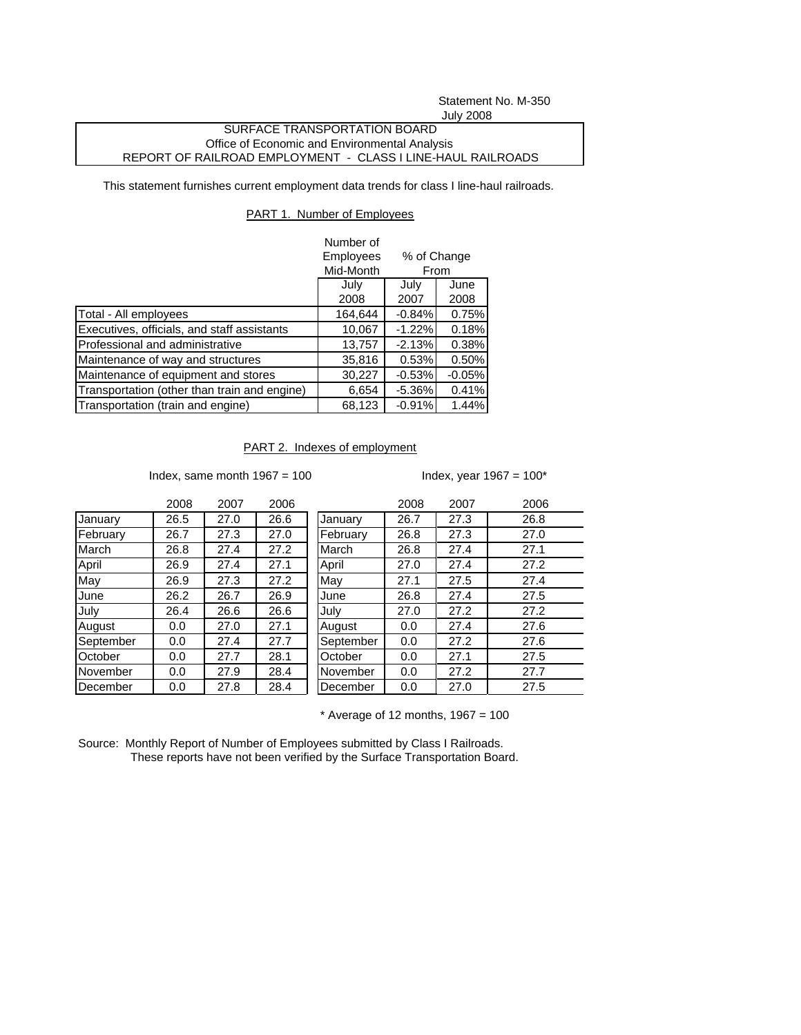Statement No. M-350 July 2008

## SURFACE TRANSPORTATION BOARD Office of Economic and Environmental Analysis REPORT OF RAILROAD EMPLOYMENT - CLASS I LINE-HAUL RAILROADS

This statement furnishes current employment data trends for class I line-haul railroads.

## PART 1. Number of Employees

|                                              | Number of    |                     |          |
|----------------------------------------------|--------------|---------------------|----------|
|                                              | Employees    | % of Change<br>From |          |
|                                              | Mid-Month    |                     |          |
|                                              | July<br>July |                     | June     |
|                                              | 2008         | 2007                | 2008     |
| Total - All employees                        | 164,644      | $-0.84%$            | 0.75%    |
| Executives, officials, and staff assistants  | 10,067       | $-1.22%$            | 0.18%    |
| Professional and administrative              | 13,757       | $-2.13%$            | 0.38%    |
| Maintenance of way and structures            | 35,816       | 0.53%               | 0.50%    |
| Maintenance of equipment and stores          | 30,227       | $-0.53%$            | $-0.05%$ |
| Transportation (other than train and engine) | 6,654        | $-5.36\%$           | 0.41%    |
| Transportation (train and engine)            | 68,123       | $-0.91%$            | 1.44%    |

## PART 2. Indexes of employment

Index, same month  $1967 = 100$  Index, year  $1967 = 100*$ 

|           | 2008 | 2007 | 2006 |           | 2008 | 2007 | 2006 |
|-----------|------|------|------|-----------|------|------|------|
| January   | 26.5 | 27.0 | 26.6 | January   | 26.7 | 27.3 | 26.8 |
| February  | 26.7 | 27.3 | 27.0 | February  | 26.8 | 27.3 | 27.0 |
| March     | 26.8 | 27.4 | 27.2 | March     | 26.8 | 27.4 | 27.1 |
| April     | 26.9 | 27.4 | 27.1 | April     | 27.0 | 27.4 | 27.2 |
| May       | 26.9 | 27.3 | 27.2 | May       | 27.1 | 27.5 | 27.4 |
| June      | 26.2 | 26.7 | 26.9 | June      | 26.8 | 27.4 | 27.5 |
| July      | 26.4 | 26.6 | 26.6 | July      | 27.0 | 27.2 | 27.2 |
| August    | 0.0  | 27.0 | 27.1 | August    | 0.0  | 27.4 | 27.6 |
| September | 0.0  | 27.4 | 27.7 | September | 0.0  | 27.2 | 27.6 |
| October   | 0.0  | 27.7 | 28.1 | October   | 0.0  | 27.1 | 27.5 |
| November  | 0.0  | 27.9 | 28.4 | November  | 0.0  | 27.2 | 27.7 |
| December  | 0.0  | 27.8 | 28.4 | December  | 0.0  | 27.0 | 27.5 |

 $*$  Average of 12 months, 1967 = 100

Source: Monthly Report of Number of Employees submitted by Class I Railroads. These reports have not been verified by the Surface Transportation Board.